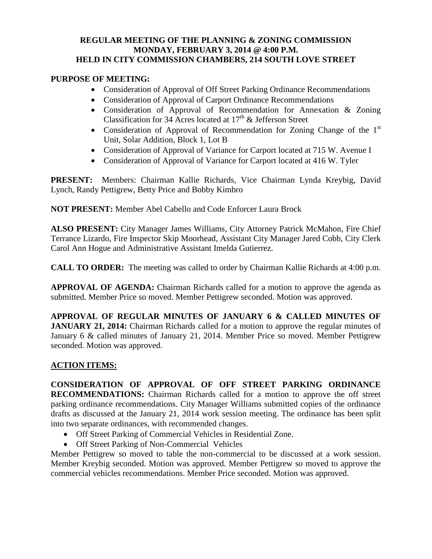## **REGULAR MEETING OF THE PLANNING & ZONING COMMISSION MONDAY, FEBRUARY 3, 2014 @ 4:00 P.M. HELD IN CITY COMMISSION CHAMBERS, 214 SOUTH LOVE STREET**

## **PURPOSE OF MEETING:**

- Consideration of Approval of Off Street Parking Ordinance Recommendations
- Consideration of Approval of Carport Ordinance Recommendations
- Consideration of Approval of Recommendation for Annexation & Zoning Classification for 34 Acres located at  $17<sup>th</sup>$  & Jefferson Street
- Consideration of Approval of Recommendation for Zoning Change of the  $1<sup>st</sup>$ Unit, Solar Addition, Block 1, Lot B
- Consideration of Approval of Variance for Carport located at 715 W. Avenue I
- Consideration of Approval of Variance for Carport located at 416 W. Tyler

**PRESENT:** Members: Chairman Kallie Richards, Vice Chairman Lynda Kreybig, David Lynch, Randy Pettigrew, Betty Price and Bobby Kimbro

**NOT PRESENT:** Member Abel Cabello and Code Enforcer Laura Brock

**ALSO PRESENT:** City Manager James Williams, City Attorney Patrick McMahon, Fire Chief Terrance Lizardo, Fire Inspector Skip Moorhead, Assistant City Manager Jared Cobb, City Clerk Carol Ann Hogue and Administrative Assistant Imelda Gutierrez.

**CALL TO ORDER:** The meeting was called to order by Chairman Kallie Richards at 4:00 p.m.

**APPROVAL OF AGENDA:** Chairman Richards called for a motion to approve the agenda as submitted. Member Price so moved. Member Pettigrew seconded. Motion was approved.

**APPROVAL OF REGULAR MINUTES OF JANUARY 6 & CALLED MINUTES OF JANUARY 21, 2014:** Chairman Richards called for a motion to approve the regular minutes of January 6 & called minutes of January 21, 2014. Member Price so moved. Member Pettigrew seconded. Motion was approved.

## **ACTION ITEMS:**

**CONSIDERATION OF APPROVAL OF OFF STREET PARKING ORDINANCE RECOMMENDATIONS:** Chairman Richards called for a motion to approve the off street parking ordinance recommendations. City Manager Williams submitted copies of the ordinance drafts as discussed at the January 21, 2014 work session meeting. The ordinance has been split into two separate ordinances, with recommended changes.

- Off Street Parking of Commercial Vehicles in Residential Zone.
- Off Street Parking of Non-Commercial Vehicles

Member Pettigrew so moved to table the non-commercial to be discussed at a work session. Member Kreybig seconded. Motion was approved. Member Pettigrew so moved to approve the commercial vehicles recommendations. Member Price seconded. Motion was approved.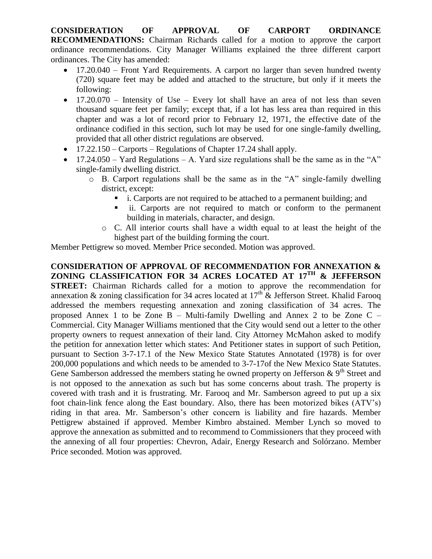**CONSIDERATION OF APPROVAL OF CARPORT ORDINANCE RECOMMENDATIONS:** Chairman Richards called for a motion to approve the carport ordinance recommendations. City Manager Williams explained the three different carport ordinances. The City has amended:

- 17.20.040 Front Yard Requirements. A carport no larger than seven hundred twenty (720) square feet may be added and attached to the structure, but only if it meets the following:
- $\bullet$  17.20.070 Intensity of Use Every lot shall have an area of not less than seven thousand square feet per family; except that, if a lot has less area than required in this chapter and was a lot of record prior to February 12, 1971, the effective date of the ordinance codified in this section, such lot may be used for one single-family dwelling, provided that all other district regulations are observed.
- 17.22.150 Carports Regulations of Chapter 17.24 shall apply.
- $\bullet$  17.24.050 Yard Regulations A. Yard size regulations shall be the same as in the "A" single-family dwelling district.
	- o B. Carport regulations shall be the same as in the "A" single-family dwelling district, except:
		- i. Carports are not required to be attached to a permanent building; and
		- ii. Carports are not required to match or conform to the permanent building in materials, character, and design.
		- o C. All interior courts shall have a width equal to at least the height of the highest part of the building forming the court.

Member Pettigrew so moved. Member Price seconded. Motion was approved.

**CONSIDERATION OF APPROVAL OF RECOMMENDATION FOR ANNEXATION & ZONING CLASSIFICATION FOR 34 ACRES LOCATED AT 17TH & JEFFERSON STREET:** Chairman Richards called for a motion to approve the recommendation for annexation & zoning classification for 34 acres located at  $17<sup>th</sup>$  & Jefferson Street. Khalid Farooq addressed the members requesting annexation and zoning classification of 34 acres. The proposed Annex 1 to be Zone B – Multi-family Dwelling and Annex 2 to be Zone C – Commercial. City Manager Williams mentioned that the City would send out a letter to the other property owners to request annexation of their land. City Attorney McMahon asked to modify the petition for annexation letter which states: And Petitioner states in support of such Petition, pursuant to Section 3-7-17.1 of the New Mexico State Statutes Annotated (1978) is for over 200,000 populations and which needs to be amended to 3-7-17of the New Mexico State Statutes. Gene Samberson addressed the members stating he owned property on Jefferson  $\& 9<sup>th</sup>$  Street and is not opposed to the annexation as such but has some concerns about trash. The property is covered with trash and it is frustrating. Mr. Farooq and Mr. Samberson agreed to put up a six foot chain-link fence along the East boundary. Also, there has been motorized bikes (ATV's) riding in that area. Mr. Samberson's other concern is liability and fire hazards. Member Pettigrew abstained if approved. Member Kimbro abstained. Member Lynch so moved to approve the annexation as submitted and to recommend to Commissioners that they proceed with the annexing of all four properties: Chevron, Adair, Energy Research and Solórzano. Member Price seconded. Motion was approved.